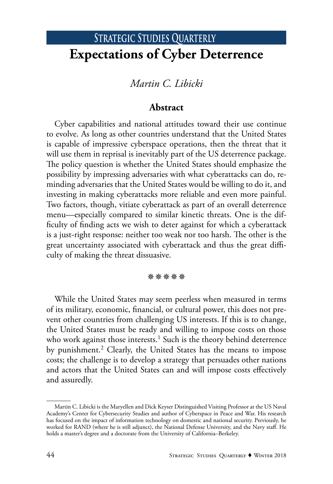# STRATEGIC STUDIES QUARTERLY **Expectations of Cyber Deterrence**

## *Martin C. Libicki*

### **Abstract**

Cyber capabilities and national attitudes toward their use continue to evolve. As long as other countries understand that the United States is capable of impressive cyberspace operations, then the threat that it will use them in reprisal is inevitably part of the US deterrence package. The policy question is whether the United States should emphasize the possibility by impressing adversaries with what cyberattacks can do, reminding adversaries that the United States would be willing to do it, and investing in making cyberattacks more reliable and even more painful. Two factors, though, vitiate cyberattack as part of an overall deterrence menu—especially compared to similar kinetic threats. One is the difficulty of finding acts we wish to deter against for which a cyberattack is a just-right response: neither too weak nor too harsh. The other is the great uncertainty associated with cyberattack and thus the great difficulty of making the threat dissuasive.

#### **涤涤涤涤涤**

While the United States may seem peerless when measured in terms of its military, economic, financial, or cultural power, this does not prevent other countries from challenging US interests. If this is to change, the United States must be ready and willing to impose costs on those who work against those interests.<sup>1</sup> Such is the theory behind deterrence by punishment.<sup>2</sup> Clearly, the United States has the means to impose costs; the challenge is to develop a strategy that persuades other nations and actors that the United States can and will impose costs effectively and assuredly.

Martin C. Libicki is the Maryellen and Dick Keyser Distinguished Visiting Professor at the US Naval Academy's Center for Cybersecurity Studies and author of Cyberspace in Peace and War. His research has focused on the impact of information technology on domestic and national security. Previously, he worked for RAND (where he is still adjunct), the National Defense University, and the Navy staff. He holds a master's degree and a doctorate from the University of California–Berkeley.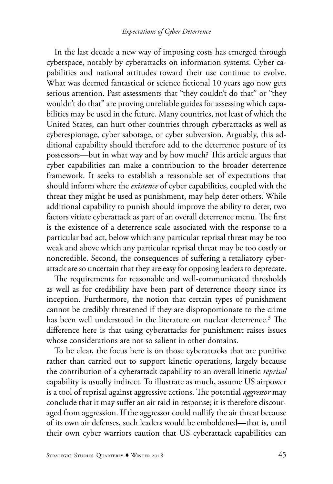In the last decade a new way of imposing costs has emerged through cyberspace, notably by cyberattacks on information systems. Cyber capabilities and national attitudes toward their use continue to evolve. What was deemed fantastical or science fictional 10 years ago now gets serious attention. Past assessments that "they couldn't do that" or "they wouldn't do that" are proving unreliable guides for assessing which capabilities may be used in the future. Many countries, not least of which the United States, can hurt other countries through cyberattacks as well as cyberespionage, cyber sabotage, or cyber subversion. Arguably, this additional capability should therefore add to the deterrence posture of its possessors—but in what way and by how much? This article argues that cyber capabilities can make a contribution to the broader deterrence framework. It seeks to establish a reasonable set of expectations that should inform where the *existence* of cyber capabilities, coupled with the threat they might be used as punishment, may help deter others. While additional capability to punish should improve the ability to deter, two factors vitiate cyberattack as part of an overall deterrence menu. The first is the existence of a deterrence scale associated with the response to a particular bad act, below which any particular reprisal threat may be too weak and above which any particular reprisal threat may be too costly or noncredible. Second, the consequences of suffering a retaliatory cyberattack are so uncertain that they are easy for opposing leaders to deprecate.

The requirements for reasonable and well-communicated thresholds as well as for credibility have been part of deterrence theory since its inception. Furthermore, the notion that certain types of punishment cannot be credibly threatened if they are disproportionate to the crime has been well understood in the literature on nuclear deterrence.<sup>3</sup> The difference here is that using cyberattacks for punishment raises issues whose considerations are not so salient in other domains.

To be clear, the focus here is on those cyberattacks that are punitive rather than carried out to support kinetic operations, largely because the contribution of a cyberattack capability to an overall kinetic *reprisal* capability is usually indirect. To illustrate as much, assume US airpower is a tool of reprisal against aggressive actions. The potential *aggressor* may conclude that it may suffer an air raid in response; it is therefore discouraged from aggression. If the aggressor could nullify the air threat because of its own air defenses, such leaders would be emboldened—that is, until their own cyber warriors caution that US cyberattack capabilities can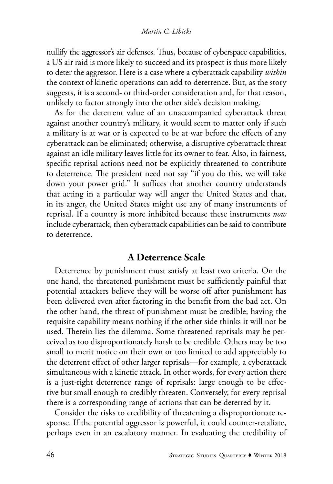### *Martin C. Libicki*

nullify the aggressor's air defenses. Thus, because of cyberspace capabilities, a US air raid is more likely to succeed and its prospect is thus more likely to deter the aggressor. Here is a case where a cyberattack capability *within*  the context of kinetic operations can add to deterrence. But, as the story suggests, it is a second- or third-order consideration and, for that reason, unlikely to factor strongly into the other side's decision making.

As for the deterrent value of an unaccompanied cyberattack threat against another country's military, it would seem to matter only if such a military is at war or is expected to be at war before the effects of any cyberattack can be eliminated; otherwise, a disruptive cyberattack threat against an idle military leaves little for its owner to fear. Also, in fairness, specific reprisal actions need not be explicitly threatened to contribute to deterrence. The president need not say "if you do this, we will take down your power grid." It suffices that another country understands that acting in a particular way will anger the United States and that, in its anger, the United States might use any of many instruments of reprisal. If a country is more inhibited because these instruments *now* include cyberattack, then cyberattack capabilities can be said to contribute to deterrence.

### **A Deterrence Scale**

Deterrence by punishment must satisfy at least two criteria. On the one hand, the threatened punishment must be sufficiently painful that potential attackers believe they will be worse off after punishment has been delivered even after factoring in the benefit from the bad act. On the other hand, the threat of punishment must be credible; having the requisite capability means nothing if the other side thinks it will not be used. Therein lies the dilemma. Some threatened reprisals may be perceived as too disproportionately harsh to be credible. Others may be too small to merit notice on their own or too limited to add appreciably to the deterrent effect of other larger reprisals—for example, a cyberattack simultaneous with a kinetic attack. In other words, for every action there is a just-right deterrence range of reprisals: large enough to be effective but small enough to credibly threaten. Conversely, for every reprisal there is a corresponding range of actions that can be deterred by it.

Consider the risks to credibility of threatening a disproportionate response. If the potential aggressor is powerful, it could counter-retaliate, perhaps even in an escalatory manner. In evaluating the credibility of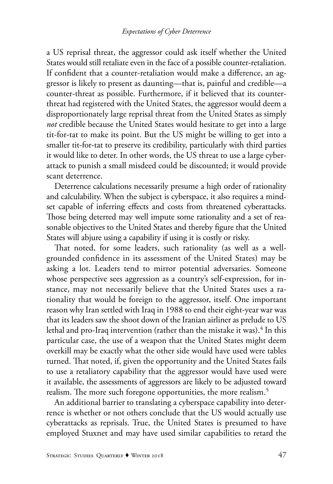a US reprisal threat, the aggressor could ask itself whether the United States would still retaliate even in the face of a possible counter-retaliation. If confident that a counter-retaliation would make a difference, an aggressor is likely to present as daunting—that is, painful and credible—a counter-threat as possible. Furthermore, if it believed that its counterthreat had registered with the United States, the aggressor would deem a disproportionately large reprisal threat from the United States as simply *not* credible because the United States would hesitate to get into a large tit-for-tat to make its point. But the US might be willing to get into a smaller tit-for-tat to preserve its credibility, particularly with third parties it would like to deter. In other words, the US threat to use a large cyberattack to punish a small misdeed could be discounted; it would provide scant deterrence.

Deterrence calculations necessarily presume a high order of rationality and calculability. When the subject is cyberspace, it also requires a mindset capable of inferring effects and costs from threatened cyberattacks. Those being deterred may well impute some rationality and a set of reasonable objectives to the United States and thereby figure that the United States will abjure using a capability if using it is costly or risky.

That noted, for some leaders, such rationality (as well as a wellgrounded confidence in its assessment of the United States) may be asking a lot. Leaders tend to mirror potential adversaries. Someone whose perspective sees aggression as a country's self-expression, for instance, may not necessarily believe that the United States uses a rationality that would be foreign to the aggressor, itself. One important reason why Iran settled with Iraq in 1988 to end their eight-year war was that its leaders saw the shoot down of the Iranian airliner as prelude to US lethal and pro-Iraq intervention (rather than the mistake it was). $^4$  In this particular case, the use of a weapon that the United States might deem overkill may be exactly what the other side would have used were tables turned. That noted, if, given the opportunity and the United States fails to use a retaliatory capability that the aggressor would have used were it available, the assessments of aggressors are likely to be adjusted toward realism. The more such foregone opportunities, the more realism.<sup>5</sup>

An additional barrier to translating a cyberspace capability into deterrence is whether or not others conclude that the US would actually use cyberattacks as reprisals. True, the United States is presumed to have employed Stuxnet and may have used similar capabilities to retard the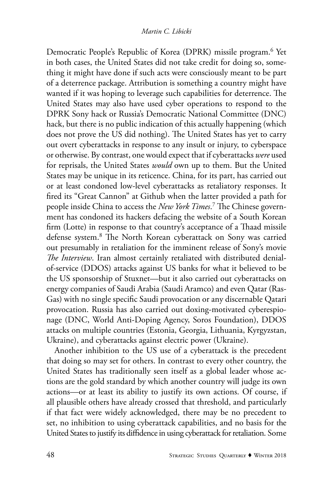Democratic People's Republic of Korea (DPRK) missile program.<sup>6</sup> Yet in both cases, the United States did not take credit for doing so, something it might have done if such acts were consciously meant to be part of a deterrence package. Attribution is something a country might have wanted if it was hoping to leverage such capabilities for deterrence. The United States may also have used cyber operations to respond to the DPRK Sony hack or Russia's Democratic National Committee (DNC) hack, but there is no public indication of this actually happening (which does not prove the US did nothing). The United States has yet to carry out overt cyberattacks in response to any insult or injury, to cyberspace or otherwise. By contrast, one would expect that if cyberattacks *were* used for reprisals, the United States *would* own up to them. But the United States may be unique in its reticence. China, for its part, has carried out or at least condoned low-level cyberattacks as retaliatory responses. It fired its "Great Cannon" at Github when the latter provided a path for people inside China to access the *New York Times*. 7 The Chinese government has condoned its hackers defacing the website of a South Korean firm (Lotte) in response to that country's acceptance of a Thaad missile defense system.8 The North Korean cyberattack on Sony was carried out presumably in retaliation for the imminent release of Sony's movie *The Interview*. Iran almost certainly retaliated with distributed denialof-service (DDOS) attacks against US banks for what it believed to be the US sponsorship of Stuxnet—but it also carried out cyberattacks on energy companies of Saudi Arabia (Saudi Aramco) and even Qatar (Ras-Gas) with no single specific Saudi provocation or any discernable Qatari provocation. Russia has also carried out doxing-motivated cyberespionage (DNC, World Anti-Doping Agency, Soros Foundation), DDOS attacks on multiple countries (Estonia, Georgia, Lithuania, Kyrgyzstan, Ukraine), and cyberattacks against electric power (Ukraine).

Another inhibition to the US use of a cyberattack is the precedent that doing so may set for others. In contrast to every other country, the United States has traditionally seen itself as a global leader whose actions are the gold standard by which another country will judge its own actions—or at least its ability to justify its own actions. Of course, if all plausible others have already crossed that threshold, and particularly if that fact were widely acknowledged, there may be no precedent to set, no inhibition to using cyberattack capabilities, and no basis for the United States to justify its diffidence in using cyberattack for retaliation. Some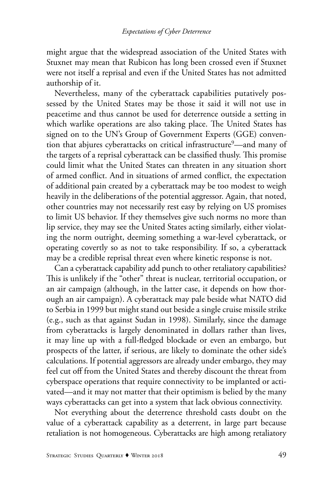might argue that the widespread association of the United States with Stuxnet may mean that Rubicon has long been crossed even if Stuxnet were not itself a reprisal and even if the United States has not admitted authorship of it.

Nevertheless, many of the cyberattack capabilities putatively possessed by the United States may be those it said it will not use in peacetime and thus cannot be used for deterrence outside a setting in which warlike operations are also taking place. The United States has signed on to the UN's Group of Government Experts (GGE) convention that abjures cyberattacks on critical infrastructure<sup>9</sup>—and many of the targets of a reprisal cyberattack can be classified thusly. This promise could limit what the United States can threaten in any situation short of armed conflict. And in situations of armed conflict, the expectation of additional pain created by a cyberattack may be too modest to weigh heavily in the deliberations of the potential aggressor. Again, that noted, other countries may not necessarily rest easy by relying on US promises to limit US behavior. If they themselves give such norms no more than lip service, they may see the United States acting similarly, either violating the norm outright, deeming something a war-level cyberattack, or operating covertly so as not to take responsibility. If so, a cyberattack may be a credible reprisal threat even where kinetic response is not.

Can a cyberattack capability add punch to other retaliatory capabilities? This is unlikely if the "other" threat is nuclear, territorial occupation, or an air campaign (although, in the latter case, it depends on how thorough an air campaign). A cyberattack may pale beside what NATO did to Serbia in 1999 but might stand out beside a single cruise missile strike (e.g., such as that against Sudan in 1998). Similarly, since the damage from cyberattacks is largely denominated in dollars rather than lives, it may line up with a full-fledged blockade or even an embargo, but prospects of the latter, if serious, are likely to dominate the other side's calculations. If potential aggressors are already under embargo, they may feel cut off from the United States and thereby discount the threat from cyberspace operations that require connectivity to be implanted or activated—and it may not matter that their optimism is belied by the many ways cyberattacks can get into a system that lack obvious connectivity.

Not everything about the deterrence threshold casts doubt on the value of a cyberattack capability as a deterrent, in large part because retaliation is not homogeneous. Cyberattacks are high among retaliatory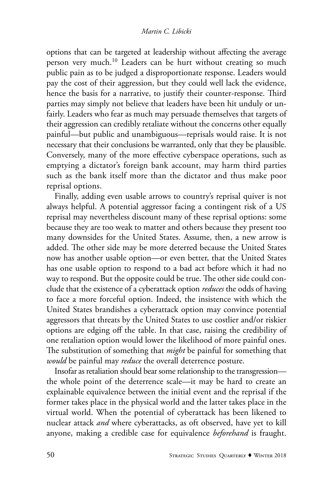options that can be targeted at leadership without affecting the average person very much.<sup>10</sup> Leaders can be hurt without creating so much public pain as to be judged a disproportionate response. Leaders would pay the cost of their aggression, but they could well lack the evidence, hence the basis for a narrative, to justify their counter-response. Third parties may simply not believe that leaders have been hit unduly or unfairly. Leaders who fear as much may persuade themselves that targets of their aggression can credibly retaliate without the concerns other equally painful—but public and unambiguous—reprisals would raise. It is not necessary that their conclusions be warranted, only that they be plausible. Conversely, many of the more effective cyberspace operations, such as emptying a dictator's foreign bank account, may harm third parties such as the bank itself more than the dictator and thus make poor reprisal options.

Finally, adding even usable arrows to country's reprisal quiver is not always helpful. A potential aggressor facing a contingent risk of a US reprisal may nevertheless discount many of these reprisal options: some because they are too weak to matter and others because they present too many downsides for the United States. Assume, then, a new arrow is added. The other side may be more deterred because the United States now has another usable option—or even better, that the United States has one usable option to respond to a bad act before which it had no way to respond. But the opposite could be true. The other side could conclude that the existence of a cyberattack option *reduces* the odds of having to face a more forceful option. Indeed, the insistence with which the United States brandishes a cyberattack option may convince potential aggressors that threats by the United States to use costlier and/or riskier options are edging off the table. In that case, raising the credibility of one retaliation option would lower the likelihood of more painful ones. The substitution of something that *might* be painful for something that *would* be painful may *reduce* the overall deterrence posture.

Insofar as retaliation should bear some relationship to the transgression the whole point of the deterrence scale—it may be hard to create an explainable equivalence between the initial event and the reprisal if the former takes place in the physical world and the latter takes place in the virtual world. When the potential of cyberattack has been likened to nuclear attack *and* where cyberattacks, as oft observed, have yet to kill anyone, making a credible case for equivalence *beforehand* is fraught.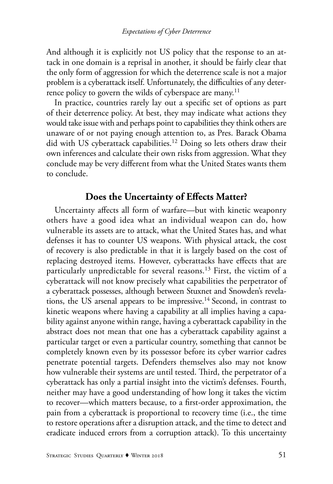And although it is explicitly not US policy that the response to an attack in one domain is a reprisal in another, it should be fairly clear that the only form of aggression for which the deterrence scale is not a major problem is a cyberattack itself. Unfortunately, the difficulties of any deterrence policy to govern the wilds of cyberspace are many.<sup>11</sup>

In practice, countries rarely lay out a specific set of options as part of their deterrence policy. At best, they may indicate what actions they would take issue with and perhaps point to capabilities they think others are unaware of or not paying enough attention to, as Pres. Barack Obama did with US cyberattack capabilities.<sup>12</sup> Doing so lets others draw their own inferences and calculate their own risks from aggression. What they conclude may be very different from what the United States wants them to conclude.

### **Does the Uncertainty of Effects Matter?**

Uncertainty affects all form of warfare—but with kinetic weaponry others have a good idea what an individual weapon can do, how vulnerable its assets are to attack, what the United States has, and what defenses it has to counter US weapons. With physical attack, the cost of recovery is also predictable in that it is largely based on the cost of replacing destroyed items. However, cyberattacks have effects that are particularly unpredictable for several reasons.<sup>13</sup> First, the victim of a cyberattack will not know precisely what capabilities the perpetrator of a cyberattack possesses, although between Stuxnet and Snowden's revelations, the US arsenal appears to be impressive.14 Second, in contrast to kinetic weapons where having a capability at all implies having a capability against anyone within range, having a cyberattack capability in the abstract does not mean that one has a cyberattack capability against a particular target or even a particular country, something that cannot be completely known even by its possessor before its cyber warrior cadres penetrate potential targets. Defenders themselves also may not know how vulnerable their systems are until tested. Third, the perpetrator of a cyberattack has only a partial insight into the victim's defenses. Fourth, neither may have a good understanding of how long it takes the victim to recover—which matters because, to a first-order approximation, the pain from a cyberattack is proportional to recovery time (i.e., the time to restore operations after a disruption attack, and the time to detect and eradicate induced errors from a corruption attack). To this uncertainty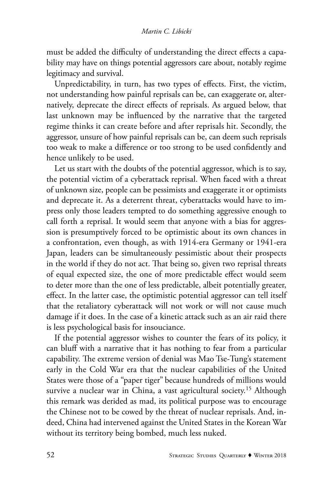must be added the difficulty of understanding the direct effects a capability may have on things potential aggressors care about, notably regime legitimacy and survival.

Unpredictability, in turn, has two types of effects. First, the victim, not understanding how painful reprisals can be, can exaggerate or, alternatively, deprecate the direct effects of reprisals. As argued below, that last unknown may be influenced by the narrative that the targeted regime thinks it can create before and after reprisals hit. Secondly, the aggressor, unsure of how painful reprisals can be, can deem such reprisals too weak to make a difference or too strong to be used confidently and hence unlikely to be used.

Let us start with the doubts of the potential aggressor, which is to say, the potential victim of a cyberattack reprisal. When faced with a threat of unknown size, people can be pessimists and exaggerate it or optimists and deprecate it. As a deterrent threat, cyberattacks would have to impress only those leaders tempted to do something aggressive enough to call forth a reprisal. It would seem that anyone with a bias for aggression is presumptively forced to be optimistic about its own chances in a confrontation, even though, as with 1914-era Germany or 1941-era Japan, leaders can be simultaneously pessimistic about their prospects in the world if they do not act. That being so, given two reprisal threats of equal expected size, the one of more predictable effect would seem to deter more than the one of less predictable, albeit potentially greater, effect. In the latter case, the optimistic potential aggressor can tell itself that the retaliatory cyberattack will not work or will not cause much damage if it does. In the case of a kinetic attack such as an air raid there is less psychological basis for insouciance.

If the potential aggressor wishes to counter the fears of its policy, it can bluff with a narrative that it has nothing to fear from a particular capability. The extreme version of denial was Mao Tse-Tung's statement early in the Cold War era that the nuclear capabilities of the United States were those of a "paper tiger" because hundreds of millions would survive a nuclear war in China, a vast agricultural society.<sup>15</sup> Although this remark was derided as mad, its political purpose was to encourage the Chinese not to be cowed by the threat of nuclear reprisals. And, indeed, China had intervened against the United States in the Korean War without its territory being bombed, much less nuked.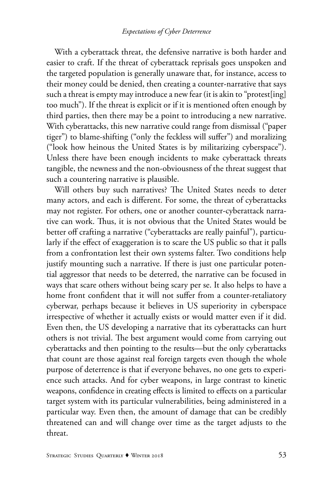With a cyberattack threat, the defensive narrative is both harder and easier to craft. If the threat of cyberattack reprisals goes unspoken and the targeted population is generally unaware that, for instance, access to their money could be denied, then creating a counter-narrative that says such a threat is empty may introduce a new fear (it is akin to "protest[ing] too much"). If the threat is explicit or if it is mentioned often enough by third parties, then there may be a point to introducing a new narrative. With cyberattacks, this new narrative could range from dismissal ("paper tiger") to blame-shifting ("only the feckless will suffer") and moralizing ("look how heinous the United States is by militarizing cyberspace"). Unless there have been enough incidents to make cyberattack threats tangible, the newness and the non-obviousness of the threat suggest that such a countering narrative is plausible.

Will others buy such narratives? The United States needs to deter many actors, and each is different. For some, the threat of cyberattacks may not register. For others, one or another counter-cyberattack narrative can work. Thus, it is not obvious that the United States would be better off crafting a narrative ("cyberattacks are really painful"), particularly if the effect of exaggeration is to scare the US public so that it palls from a confrontation lest their own systems falter. Two conditions help justify mounting such a narrative. If there is just one particular potential aggressor that needs to be deterred, the narrative can be focused in ways that scare others without being scary per se. It also helps to have a home front confident that it will not suffer from a counter-retaliatory cyberwar, perhaps because it believes in US superiority in cyberspace irrespective of whether it actually exists or would matter even if it did. Even then, the US developing a narrative that its cyberattacks can hurt others is not trivial. The best argument would come from carrying out cyberattacks and then pointing to the results—but the only cyberattacks that count are those against real foreign targets even though the whole purpose of deterrence is that if everyone behaves, no one gets to experience such attacks. And for cyber weapons, in large contrast to kinetic weapons, confidence in creating effects is limited to effects on a particular target system with its particular vulnerabilities, being administered in a particular way. Even then, the amount of damage that can be credibly threatened can and will change over time as the target adjusts to the threat.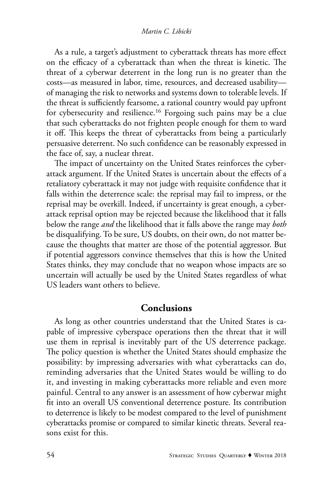As a rule, a target's adjustment to cyberattack threats has more effect on the efficacy of a cyberattack than when the threat is kinetic. The threat of a cyberwar deterrent in the long run is no greater than the costs—as measured in labor, time, resources, and decreased usability of managing the risk to networks and systems down to tolerable levels. If the threat is sufficiently fearsome, a rational country would pay upfront for cybersecurity and resilience.16 Forgoing such pains may be a clue that such cyberattacks do not frighten people enough for them to ward it off. This keeps the threat of cyberattacks from being a particularly persuasive deterrent. No such confidence can be reasonably expressed in the face of, say, a nuclear threat.

The impact of uncertainty on the United States reinforces the cyberattack argument. If the United States is uncertain about the effects of a retaliatory cyberattack it may not judge with requisite confidence that it falls within the deterrence scale: the reprisal may fail to impress, or the reprisal may be overkill. Indeed, if uncertainty is great enough, a cyberattack reprisal option may be rejected because the likelihood that it falls below the range *and* the likelihood that it falls above the range may *both* be disqualifying. To be sure, US doubts, on their own, do not matter because the thoughts that matter are those of the potential aggressor. But if potential aggressors convince themselves that this is how the United States thinks, they may conclude that no weapon whose impacts are so uncertain will actually be used by the United States regardless of what US leaders want others to believe.

### **Conclusions**

As long as other countries understand that the United States is capable of impressive cyberspace operations then the threat that it will use them in reprisal is inevitably part of the US deterrence package. The policy question is whether the United States should emphasize the possibility: by impressing adversaries with what cyberattacks can do, reminding adversaries that the United States would be willing to do it, and investing in making cyberattacks more reliable and even more painful. Central to any answer is an assessment of how cyberwar might fit into an overall US conventional deterrence posture. Its contribution to deterrence is likely to be modest compared to the level of punishment cyberattacks promise or compared to similar kinetic threats. Several reasons exist for this.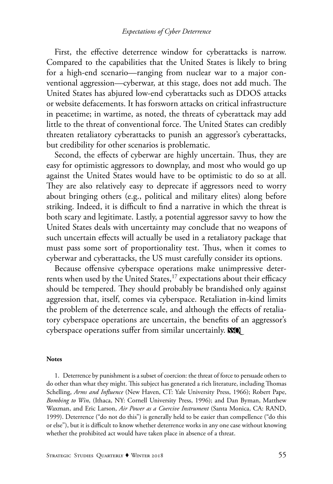First, the effective deterrence window for cyberattacks is narrow. Compared to the capabilities that the United States is likely to bring for a high-end scenario—ranging from nuclear war to a major conventional aggression—cyberwar, at this stage, does not add much. The United States has abjured low-end cyberattacks such as DDOS attacks or website defacements. It has forsworn attacks on critical infrastructure in peacetime; in wartime, as noted, the threats of cyberattack may add little to the threat of conventional force. The United States can credibly threaten retaliatory cyberattacks to punish an aggressor's cyberattacks, but credibility for other scenarios is problematic.

Second, the effects of cyberwar are highly uncertain. Thus, they are easy for optimistic aggressors to downplay, and most who would go up against the United States would have to be optimistic to do so at all. They are also relatively easy to deprecate if aggressors need to worry about bringing others (e.g., political and military elites) along before striking. Indeed, it is difficult to find a narrative in which the threat is both scary and legitimate. Lastly, a potential aggressor savvy to how the United States deals with uncertainty may conclude that no weapons of such uncertain effects will actually be used in a retaliatory package that must pass some sort of proportionality test. Thus, when it comes to cyberwar and cyberattacks, the US must carefully consider its options.

Because offensive cyberspace operations make unimpressive deterrents when used by the United States,<sup>17</sup> expectations about their efficacy should be tempered. They should probably be brandished only against aggression that, itself, comes via cyberspace. Retaliation in-kind limits the problem of the deterrence scale, and although the effects of retaliatory cyberspace operations are uncertain, the benefits of an aggressor's cyberspace operations suffer from similar uncertainly. **SSO** 

#### **Notes**

1. Deterrence by punishment is a subset of coercion: the threat of force to persuade others to do other than what they might. This subject has generated a rich literature, including Thomas Schelling, *Arms and Influence* (New Haven, CT: Yale University Press, 1966); Robert Pape, *Bombing to Win*, (Ithaca, NY: Cornell University Press, 1996); and Dan Byman, Matthew Waxman, and Eric Larson, *Air Power as a Coercive Instrument* (Santa Monica, CA: RAND, 1999). Deterrence ("do not do this") is generally held to be easier than compellence ("do this or else"), but it is difficult to know whether deterrence works in any one case without knowing whether the prohibited act would have taken place in absence of a threat.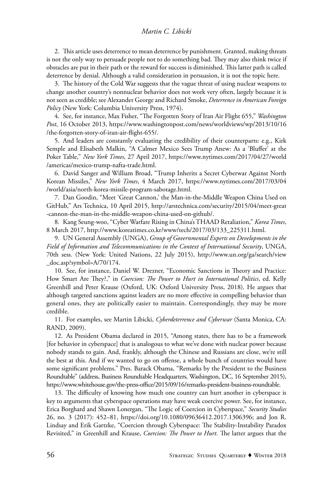#### *Martin C. Libicki*

2. This article uses deterrence to mean deterrence by punishment. Granted, making threats is not the only way to persuade people not to do something bad. They may also think twice if obstacles are put in their path or the reward for success is diminished. This latter path is called deterrence by denial. Although a valid consideration in persuasion, it is not the topic here.

3. The history of the Cold War suggests that the vague threat of using nuclear weapons to change another country's nonnuclear behavior does not work very often, largely because it is not seen as credible; see Alexander George and Richard Smoke, *Deterrence in American Foreign Policy* (New York: Columbia University Press, 1974).

4. See, for instance, Max Fisher, "The Forgotten Story of Iran Air Flight 655," *Washington Post*, 16 October 2013, https://www.washingtonpost.com/news/worldviews/wp/2013/10/16 /the-forgotten-story-of-iran-air-flight-655/.

5. And leaders are constantly evaluating the credibility of their counterparts: e.g., Kirk Semple and Elisabeth Malkin, "A Calmer Mexico Sees Trump Anew: As a 'Bluffer' at the Poker Table," *New York Times*, 27 April 2017, https://www.nytimes.com/2017/04/27/world /americas/mexico-trump-nafta-trade.html.

6. David Sanger and William Broad, "Trump Inherits a Secret Cyberwar Against North Korean Missiles," *New York Times*, 4 March 2017, https://www.nytimes.com/2017/03/04 /world/asia/north-korea-missile-program-sabotage.html.

7. Dan Goodin, "Meet 'Great Cannon,' the Man-in-the-Middle Weapon China Used on GitHub," Ars Technica, 10 April 2015, http://arstechnica.com/security/2015/04/meet-great -cannon-the-man-in-the-middle-weapon-china-used-on-github/.

8. Kang Seung-woo, "Cyber Warfare Rising in China's THAAD Retaliation," *Korea Times*, 8 March 2017, http://www.koreatimes.co.kr/www/tech/2017/03/133\_225311.html.

9. UN General Assembly (UNGA), *Group of Governmental Experts on Developments in the Field of Information and Telecommunications in the Context of International Security*, UNGA, 70th sess. (New York: United Nations, 22 July 2015), http://www.un.org/ga/search/view \_doc.asp?symbol=A/70/174.

10. See, for instance, Daniel W. Drezner, "Economic Sanctions in Theory and Practice: How Smart Are They?," in *Coercion: The Power to Hurt in International Politics*, ed. Kelly Greenhill and Peter Krause (Oxford, UK: Oxford University Press, 2018). He argues that although targeted sanctions against leaders are no more effective in compelling behavior than general ones, they are politically easier to maintain. Correspondingly, they may be more credible.

11. For examples, see Martin Libicki, *Cyberdeterrence and Cyberwar* (Santa Monica, CA: RAND, 2009).

12. As President Obama declared in 2015, "Among states, there has to be a framework [for behavior in cyberspace] that is analogous to what we've done with nuclear power because nobody stands to gain. And, frankly, although the Chinese and Russians are close, we're still the best at this. And if we wanted to go on offense, a whole bunch of countries would have some significant problems." Pres. Barack Obama, "Remarks by the President to the Business Roundtable" (address, Business Roundtable Headquarters, Washington, DC, 16 September 2015), https://www.whitehouse.gov/the-press-office/2015/09/16/remarks-president-business-roundtable.

13. The difficulty of knowing how much one country can hurt another in cyberspace is key to arguments that cyberspace operations may have weak coercive power. See, for instance, Erica Borghard and Shawn Lonergan, "The Logic of Coercion in Cyberspace," *Security Studies* 26, no. 3 (2017): 452–81, https://doi.org/10.1080/09636412.2017.1306396; and Jon R. Lindsay and Erik Gartzke, "Coercion through Cyberspace: The Stability-Instability Paradox Revisited," in Greenhill and Krause, *Coercion: The Power to Hurt*. The latter argues that the